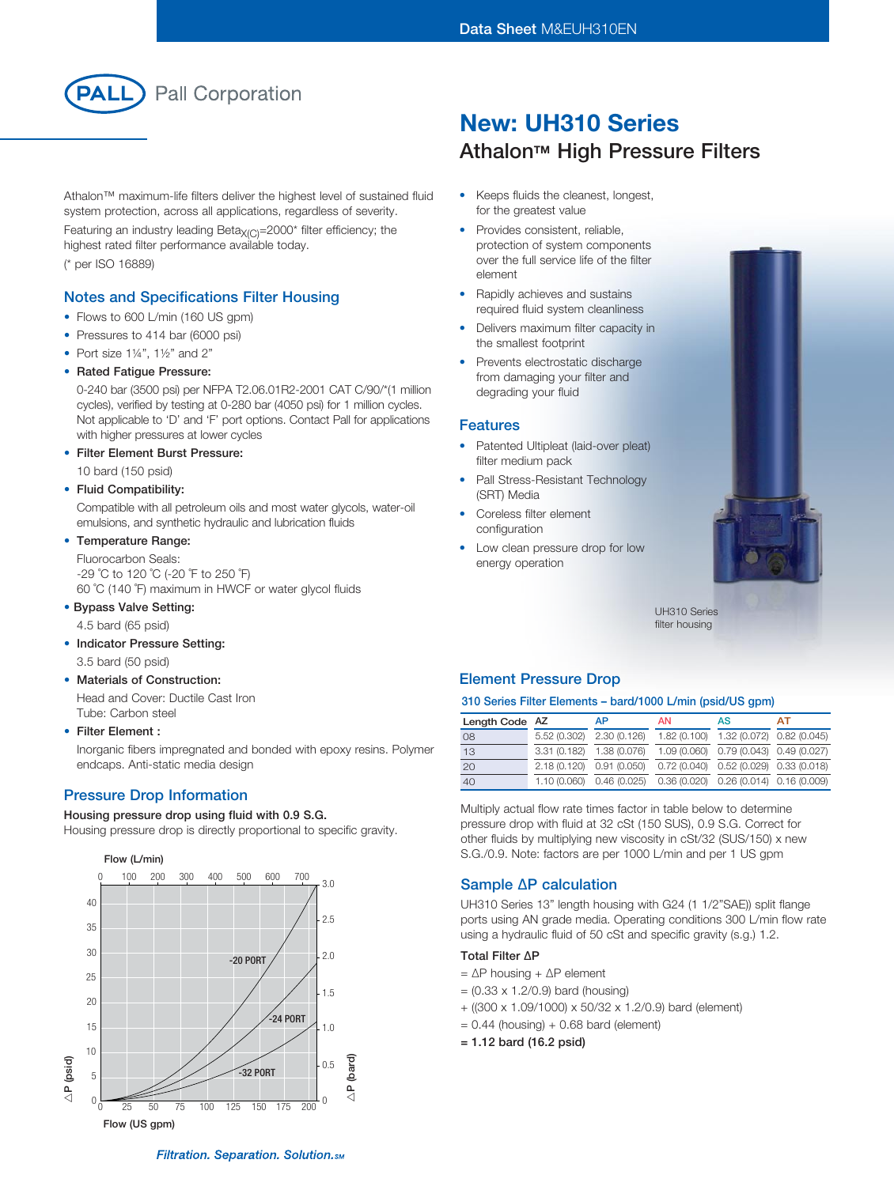

Athalon™ maximum-life filters deliver the highest level of sustained fluid system protection, across all applications, regardless of severity.

Featuring an industry leading Beta $X_{(C)}$ =2000\* filter efficiency; the highest rated filter performance available today. (\* per ISO 16889)

## Notes and Specifications Filter Housing

- Flows to 600 L/min (160 US gpm)
- Pressures to 414 bar (6000 psi)
- Port size  $1\frac{1}{4}$ ,  $1\frac{1}{2}$  and  $2$ "
- Rated Fatigue Pressure:

0-240 bar (3500 psi) per NFPA T2.06.01R2-2001 CAT C/90/\*(1 million cycles), verified by testing at 0-280 bar (4050 psi) for 1 million cycles. Not applicable to 'D' and 'F' port options. Contact Pall for applications with higher pressures at lower cycles

• Filter Element Burst Pressure:

10 bard (150 psid)

#### • Fluid Compatibility:

Compatible with all petroleum oils and most water glycols, water-oil emulsions, and synthetic hydraulic and lubrication fluids

## • Temperature Range:

Fluorocarbon Seals: -29 ˚C to 120 ˚C (-20 ˚F to 250 ˚F) 60 ˚C (140 ˚F) maximum in HWCF or water glycol fluids

#### • Bypass Valve Setting:

4.5 bard (65 psid)

• Indicator Pressure Setting:

3.5 bard (50 psid)

### **Materials of Construction:**

Head and Cover: Ductile Cast Iron Tube: Carbon steel

#### • Filter Element :

Inorganic fibers impregnated and bonded with epoxy resins. Polymer endcaps. Anti-static media design

## Pressure Drop Information

#### Housing pressure drop using fluid with 0.9 S.G.

Housing pressure drop is directly proportional to specific gravity.



# New: UH310 Series **Athalon™ High Pressure Filters**

- • Keeps fluids the cleanest, longest, for the greatest value
- Provides consistent, reliable, protection of system components over the full service life of the filter element
- Rapidly achieves and sustains required fluid system cleanliness
- Delivers maximum filter capacity in the smallest footprint
- Prevents electrostatic discharge from damaging your filter and degrading your fluid

#### Features

- Patented Ultipleat (laid-over pleat) filter medium pack
- Pall Stress-Resistant Technology (SRT) Media
- Coreless filter element configuration
- Low clean pressure drop for low energy operation



filter housing

## Element Pressure Drop

#### 310 Series Filter Elements – bard/1000 L/min (psid/US gpm)

| Length Code AZ |                           | <b>AP</b>                 | <b>AN</b> | AS                                        | AТ |
|----------------|---------------------------|---------------------------|-----------|-------------------------------------------|----|
| 08             |                           | 5.52 (0.302) 2.30 (0.126) |           | 1.82 (0.100) 1.32 (0.072) 0.82 (0.045)    |    |
| 13             | 3.31 (0.182) 1.38 (0.076) |                           |           | 1.09 (0.060) 0.79 (0.043) 0.49 (0.027)    |    |
| 20             | 2.18 (0.120) 0.91 (0.050) |                           |           | $0.72(0.040)$ $0.52(0.029)$ $0.33(0.018)$ |    |
| 40             |                           | 1.10 (0.060) 0.46 (0.025) |           | $0.36(0.020)$ $0.26(0.014)$ $0.16(0.009)$ |    |

Multiply actual flow rate times factor in table below to determine pressure drop with fluid at 32 cSt (150 SUS), 0.9 S.G. Correct for other fluids by multiplying new viscosity in cSt/32 (SUS/150) x new S.G./0.9. Note: factors are per 1000 L/min and per 1 US gpm

## Sample ∆P calculation

UH310 Series 13" length housing with G24 (1 1/2"SAE)) split flange ports using AN grade media. Operating conditions 300 L/min flow rate using a hydraulic fluid of 50 cSt and specific gravity (s.g.) 1.2.

### Total Filter ∆P

- = ∆P housing + ∆P element
- $= (0.33 \times 1.2/0.9)$  bard (housing)
- + ((300 x 1.09/1000) x 50/32 x 1.2/0.9) bard (element)
- $= 0.44$  (housing) + 0.68 bard (element)
- = 1.12 bard (16.2 psid)

UH310 Series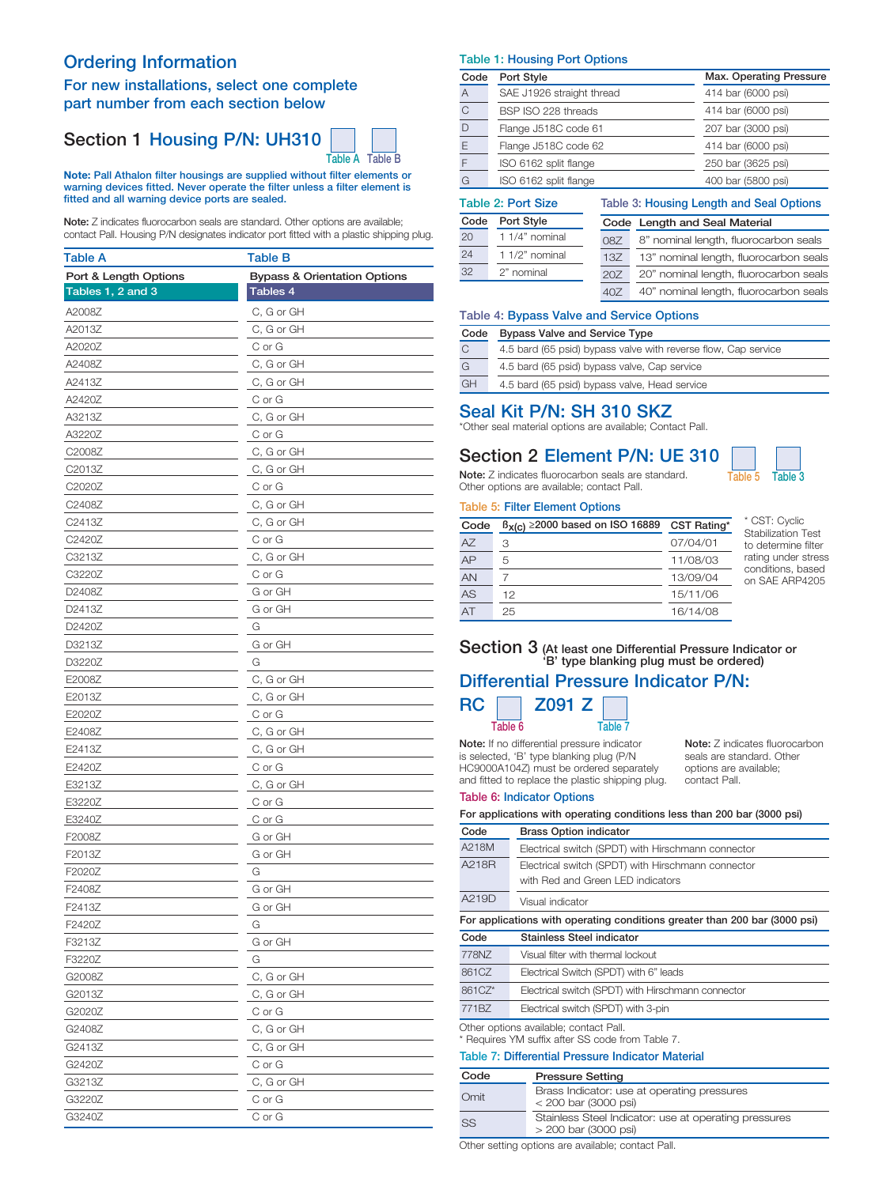## Ordering Information

## For new installations, select one complete part number from each section below

## Section 1 Housing P/N: UH310



Note: Pall Athalon filter housings are supplied without filter elements or warning devices fitted. Never operate the filter unless a filter element is fitted and all warning device ports are sealed.

Note: Z indicates fluorocarbon seals are standard. Other options are available; contact Pall. Housing P/N designates indicator port fitted with a plastic shipping plug.

| Table A               | Table B                                 |
|-----------------------|-----------------------------------------|
| Port & Length Options | <b>Bypass &amp; Orientation Options</b> |
| Tables 1, 2 and 3     | Tables 4                                |
| A2008Z                | C, G or GH                              |
| A2013Z                | C, G or GH                              |
| A2020Z                | C or G                                  |
| A2408Z                | C, G or GH                              |
| A2413Z                | C, G or GH                              |
| A2420Z                | C or G                                  |
| A3213Z                | C, G or GH                              |
| A3220Z                | C or G                                  |
| C2008Z                | C, G or GH                              |
| C2013Z                | C, G or GH                              |
| C2020Z                | C or G                                  |
| C2408Z                | C, G or GH                              |
| C2413Z                | C, G or GH                              |
| C2420Z                | C or G                                  |
| C3213Z                | C, G or GH                              |
| C3220Z                | C or G                                  |
| D2408Z                | G or GH                                 |
| D2413Z                | G or GH                                 |
| D2420Z                | G                                       |
| D3213Z                | G or GH                                 |
| D3220Z                | G                                       |
| E2008Z                | C, G or GH                              |
| E2013Z                | C, G or GH                              |
| E2020Z                | C or G                                  |
| E2408Z                | C, G or GH                              |
| E2413Z                | C, G or GH                              |
| E2420Z                | C or G                                  |
| E3213Z                | C, G or GH                              |
| E3220Z                | C or G                                  |
| E3240Z                | C or G                                  |
| F2008Z                | G or GH                                 |
| F2013Z                | G or GH                                 |
| F2020Z                | G                                       |
| F2408Z                | G or GH                                 |
| F2413Z                | G or GH                                 |
| F2420Z                | G                                       |
| F3213Z                | G or GH                                 |
| F3220Z                | G                                       |
| G2008Z                | C, G or GH                              |
| G2013Z                | C, G or GH                              |
| G2020Z                | C or G                                  |
| G2408Z                | C, G or GH                              |
| G2413Z                | C, G or GH                              |
| G2420Z                | C or G                                  |
| G3213Z                | C, G or GH                              |
| G3220Z                | C or G                                  |
| G3240Z                | C or G                                  |

#### Table 1: Housing Port Options

| Code | Port Style                | Max. Operating Pressure |
|------|---------------------------|-------------------------|
| A    | SAE J1926 straight thread | 414 bar (6000 psi)      |
| C    | BSP ISO 228 threads       | 414 bar (6000 psi)      |
| D    | Flange J518C code 61      | 207 bar (3000 psi)      |
| E    | Flange J518C code 62      | 414 bar (6000 psi)      |
| F    | ISO 6162 split flange     | 250 bar (3625 psi)      |
| G    | ISO 6162 split flange     | 400 bar (5800 psi)      |
|      |                           |                         |

Table 3: Housing Length and Seal Options

 $\mathbb{R}$ 

## Table 2: Port Size

| Code | Port Style     |     | Code Length and Seal Material          |
|------|----------------|-----|----------------------------------------|
| 20   | 1 1/4" nominal | 087 | 8" nominal length, fluorocarbon seals  |
| 24   | 1 1/2" nominal | 13Z | 13" nominal length, fluorocarbon seals |
| 32   | 2" nominal     | 20Z | 20" nominal length, fluorocarbon seals |
|      |                | 40Z | 40" nominal length, fluorocarbon seals |

#### Table 4: Bypass Valve and Service Options

| Code      | <b>Bypass Valve and Service Type</b>                           |  |  |
|-----------|----------------------------------------------------------------|--|--|
| C         | 4.5 bard (65 psid) bypass valve with reverse flow. Cap service |  |  |
| G         | 4.5 bard (65 psid) bypass valve, Cap service                   |  |  |
| <b>GH</b> | 4.5 bard (65 psid) bypass valve, Head service                  |  |  |

## Seal Kit P/N: SH 310 SKZ

\*Other seal material options are available; Contact Pall.

## Section 2 Element P/N: UE 310

Note: Z indicates fluorocarbon seals are standard. Table 5 Table 3 Other options are available; contact Pall.

### Table 5: Filter Element Options

| Code            | $B_{X(C)} \ge 2000$ based on ISO 16889 | CST Rating* | * CST: Cyclic<br><b>Stabilization Test</b> |
|-----------------|----------------------------------------|-------------|--------------------------------------------|
| <b>AZ</b>       | З                                      | 07/04/01    | to determine filter                        |
| AP              | 5                                      | 11/08/03    | rating under stress                        |
| AN              |                                        | 13/09/04    | conditions, based<br>on SAE ARP4205        |
| AS              | 12                                     | 15/11/06    |                                            |
| $\overline{AT}$ | 25                                     | 16/14/08    |                                            |

## Section 3 (At least one Differential Pressure Indicator or 'B' type blanking plug must be ordered) Differential Pressure Indicator P/N:

## $RC \Box$  Z091 Z Table 6 Table 7

Note: If no differential pressure indicator is selected, 'B' type blanking plug (P/N HC9000A104Z) must be ordered separately and fitted to replace the plastic shipping plug.

Note: Z indicates fluorocarbon seals are standard. Other options are available; contact Pall.

#### Table 6: Indicator Options

| For applications with operating conditions less than 200 bar (3000 psi)    |                                                                                            |  |  |  |
|----------------------------------------------------------------------------|--------------------------------------------------------------------------------------------|--|--|--|
| Code                                                                       | <b>Brass Option indicator</b>                                                              |  |  |  |
| A218M                                                                      | Electrical switch (SPDT) with Hirschmann connector                                         |  |  |  |
| A218R                                                                      | Electrical switch (SPDT) with Hirschmann connector<br>with Red and Green LED indicators    |  |  |  |
| A219D                                                                      | Visual indicator                                                                           |  |  |  |
| For applications with operating conditions greater than 200 bar (3000 psi) |                                                                                            |  |  |  |
| Code                                                                       | Stainless Steel indicator                                                                  |  |  |  |
| 778NZ                                                                      | Visual filter with thermal lockout                                                         |  |  |  |
| 861CZ                                                                      | Electrical Switch (SPDT) with 6" leads                                                     |  |  |  |
| 861CZ*                                                                     | Electrical switch (SPDT) with Hirschmann connector                                         |  |  |  |
| 771BZ                                                                      | Electrical switch (SPDT) with 3-pin                                                        |  |  |  |
|                                                                            | Other options available; contact Pall.<br>* Requires YM suffix after SS code from Table 7. |  |  |  |
|                                                                            | Table 7: Differential Pressure Indicator Material                                          |  |  |  |
| Code                                                                       | <b>Pressure Setting</b>                                                                    |  |  |  |
| Omit                                                                       | Brass Indicator: use at operating pressures<br>< 200 bar (3000 psi)                        |  |  |  |

Stainless Steel Indicator: use at operating pressures

> 200 bar (3000 psi) Other setting options are available; contact Pall.

SS